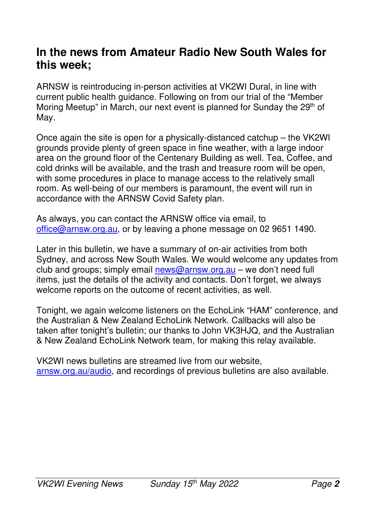#### **In the news from Amateur Radio New South Wales for this week;**

ARNSW is reintroducing in-person activities at VK2WI Dural, in line with current public health guidance. Following on from our trial of the "Member Moring Meetup" in March, our next event is planned for Sunday the 29<sup>th</sup> of May.

Once again the site is open for a physically-distanced catchup – the VK2WI grounds provide plenty of green space in fine weather, with a large indoor area on the ground floor of the Centenary Building as well. Tea, Coffee, and cold drinks will be available, and the trash and treasure room will be open, with some procedures in place to manage access to the relatively small room. As well-being of our members is paramount, the event will run in accordance with the ARNSW Covid Safety plan.

As always, you can contact the ARNSW office via email, to office@arnsw.org.au, or by leaving a phone message on 02 9651 1490.

Later in this bulletin, we have a summary of on-air activities from both Sydney, and across New South Wales. We would welcome any updates from club and groups; simply email news@arnsw.org.au – we don't need full items, just the details of the activity and contacts. Don't forget, we always welcome reports on the outcome of recent activities, as well.

Tonight, we again welcome listeners on the EchoLink "HAM" conference, and the Australian & New Zealand EchoLink Network. Callbacks will also be taken after tonight's bulletin; our thanks to John VK3HJQ, and the Australian & New Zealand EchoLink Network team, for making this relay available.

VK2WI news bulletins are streamed live from our website, arnsw.org.au/audio, and recordings of previous bulletins are also available.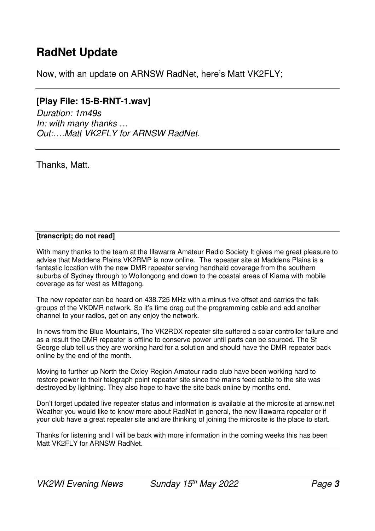#### **RadNet Update**

Now, with an update on ARNSW RadNet, here's Matt VK2FLY;

#### **[Play File: 15-B-RNT-1.wav]**

*Duration: 1m49s In: with many thanks … Out:….Matt VK2FLY for ARNSW RadNet.*

Thanks, Matt.

#### **[transcript; do not read]**

With many thanks to the team at the Illawarra Amateur Radio Society It gives me great pleasure to advise that Maddens Plains VK2RMP is now online. The repeater site at Maddens Plains is a fantastic location with the new DMR repeater serving handheld coverage from the southern suburbs of Sydney through to Wollongong and down to the coastal areas of Kiama with mobile coverage as far west as Mittagong.

The new repeater can be heard on 438.725 MHz with a minus five offset and carries the talk groups of the VKDMR network. So it's time drag out the programming cable and add another channel to your radios, get on any enjoy the network.

In news from the Blue Mountains, The VK2RDX repeater site suffered a solar controller failure and as a result the DMR repeater is offline to conserve power until parts can be sourced. The St George club tell us they are working hard for a solution and should have the DMR repeater back online by the end of the month.

Moving to further up North the Oxley Region Amateur radio club have been working hard to restore power to their telegraph point repeater site since the mains feed cable to the site was destroyed by lightning. They also hope to have the site back online by months end.

Don't forget updated live repeater status and information is available at the microsite at arnsw.net Weather you would like to know more about RadNet in general, the new Illawarra repeater or if your club have a great repeater site and are thinking of joining the microsite is the place to start.

Thanks for listening and I will be back with more information in the coming weeks this has been Matt VK2FLY for ARNSW RadNet.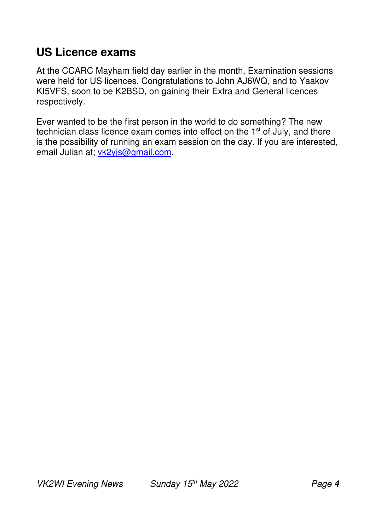## **US Licence exams**

At the CCARC Mayham field day earlier in the month, Examination sessions were held for US licences. Congratulations to John AJ6WQ, and to Yaakov KI5VFS, soon to be K2BSD, on gaining their Extra and General licences respectively.

Ever wanted to be the first person in the world to do something? The new technician class licence exam comes into effect on the 1<sup>st</sup> of July, and there is the possibility of running an exam session on the day. If you are interested, email Julian at; vk2yjs@gmail.com.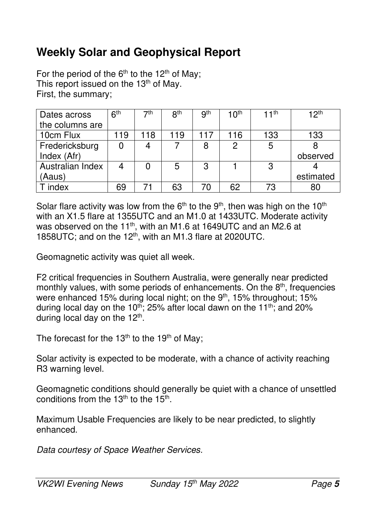## **Weekly Solar and Geophysical Report**

For the period of the  $6<sup>th</sup>$  to the 12<sup>th</sup> of May; This report issued on the  $13<sup>th</sup>$  of May. First, the summary;

| Dates across     | 6 <sup>th</sup> | 7th | 8 <sup>th</sup> | <b>gth</b> | 10 <sup>th</sup> | 11 <sup>th</sup> | 12 <sup>th</sup> |
|------------------|-----------------|-----|-----------------|------------|------------------|------------------|------------------|
| the columns are  |                 |     |                 |            |                  |                  |                  |
| 10cm Flux        | 19              | 118 | 119             | 117        | 116              | 133              | 133              |
| Fredericksburg   |                 |     |                 | 8          | 2                | 5                |                  |
| Index (Afr)      |                 |     |                 |            |                  |                  | observed         |
| Australian Index |                 |     | 5               | 3          |                  | 3                |                  |
| (Aaus)           |                 |     |                 |            |                  |                  | estimated        |
| index            | 69              |     | 63              | 70         | 62               | 73               | 80               |

Solar flare activity was low from the  $6<sup>th</sup>$  to the  $9<sup>th</sup>$ , then was high on the 10<sup>th</sup> with an X1.5 flare at 1355UTC and an M1.0 at 1433UTC. Moderate activity was observed on the 11<sup>th</sup>, with an M1.6 at 1649UTC and an M2.6 at 1858UTC; and on the 12<sup>th</sup>, with an M1.3 flare at 2020UTC.

Geomagnetic activity was quiet all week.

F2 critical frequencies in Southern Australia, were generally near predicted monthly values, with some periods of enhancements. On the  $8<sup>th</sup>$ , frequencies were enhanced 15% during local night; on the 9<sup>th</sup>, 15% throughout; 15% during local day on the 10<sup>th</sup>; 25% after local dawn on the 11<sup>th</sup>; and 20% during local day on the  $12<sup>th</sup>$ .

The forecast for the  $13<sup>th</sup>$  to the 19<sup>th</sup> of May;

Solar activity is expected to be moderate, with a chance of activity reaching R3 warning level.

Geomagnetic conditions should generally be quiet with a chance of unsettled conditions from the 13<sup>th</sup> to the 15<sup>th</sup>.

Maximum Usable Frequencies are likely to be near predicted, to slightly enhanced.

*Data courtesy of Space Weather Services.*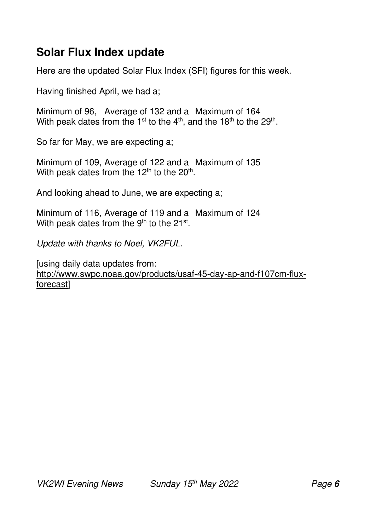### **Solar Flux Index update**

Here are the updated Solar Flux Index (SFI) figures for this week.

Having finished April, we had a;

Minimum of 96, Average of 132 and a Maximum of 164 With peak dates from the 1<sup>st</sup> to the 4<sup>th</sup>, and the 18<sup>th</sup> to the 29<sup>th</sup>.

So far for May, we are expecting a;

Minimum of 109, Average of 122 and a Maximum of 135 With peak dates from the 12<sup>th</sup> to the 20<sup>th</sup>.

And looking ahead to June, we are expecting a;

Minimum of 116, Average of 119 and a Maximum of 124 With peak dates from the  $9<sup>th</sup>$  to the 21<sup>st</sup>.

*Update with thanks to Noel, VK2FUL.* 

[using daily data updates from: http://www.swpc.noaa.gov/products/usaf-45-day-ap-and-f107cm-fluxforecast]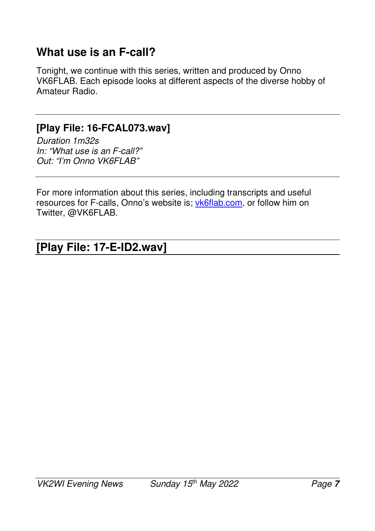### **What use is an F-call?**

Tonight, we continue with this series, written and produced by Onno VK6FLAB. Each episode looks at different aspects of the diverse hobby of Amateur Radio.

#### **[Play File: 16-FCAL073.wav]**

*Duration 1m32s In: "What use is an F-call?" Out: "I'm Onno VK6FLAB"* 

For more information about this series, including transcripts and useful resources for F-calls, Onno's website is; vk6flab.com, or follow him on Twitter, @VK6FLAB.

#### **[Play File: 17-E-ID2.wav]**   $\overline{\phantom{a}}$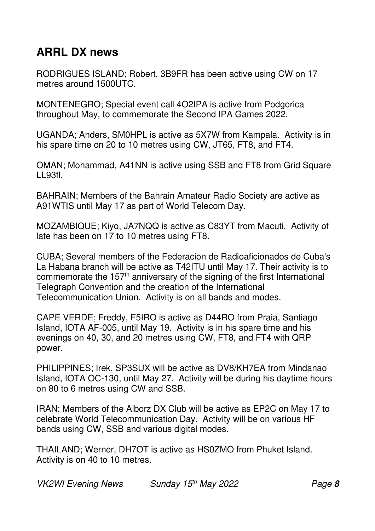## **ARRL DX news**

RODRIGUES ISLAND; Robert, 3B9FR has been active using CW on 17 metres around 1500UTC.

MONTENEGRO; Special event call 4O2IPA is active from Podgorica throughout May, to commemorate the Second IPA Games 2022.

UGANDA; Anders, SM0HPL is active as 5X7W from Kampala. Activity is in his spare time on 20 to 10 metres using CW, JT65, FT8, and FT4.

OMAN; Mohammad, A41NN is active using SSB and FT8 from Grid Square LL93fl.

BAHRAIN; Members of the Bahrain Amateur Radio Society are active as A91WTIS until May 17 as part of World Telecom Day.

MOZAMBIQUE; Kiyo, JA7NQQ is active as C83YT from Macuti. Activity of late has been on 17 to 10 metres using FT8.

CUBA; Several members of the Federacion de Radioaficionados de Cuba's La Habana branch will be active as T42ITU until May 17. Their activity is to commemorate the 157<sup>th</sup> anniversary of the signing of the first International Telegraph Convention and the creation of the International Telecommunication Union. Activity is on all bands and modes.

CAPE VERDE; Freddy, F5IRO is active as D44RO from Praia, Santiago Island, IOTA AF-005, until May 19. Activity is in his spare time and his evenings on 40, 30, and 20 metres using CW, FT8, and FT4 with QRP power.

PHILIPPINES; Irek, SP3SUX will be active as DV8/KH7EA from Mindanao Island, IOTA OC-130, until May 27. Activity will be during his daytime hours on 80 to 6 metres using CW and SSB.

IRAN; Members of the Alborz DX Club will be active as EP2C on May 17 to celebrate World Telecommunication Day. Activity will be on various HF bands using CW, SSB and various digital modes.

THAILAND; Werner, DH7OT is active as HS0ZMO from Phuket Island. Activity is on 40 to 10 metres.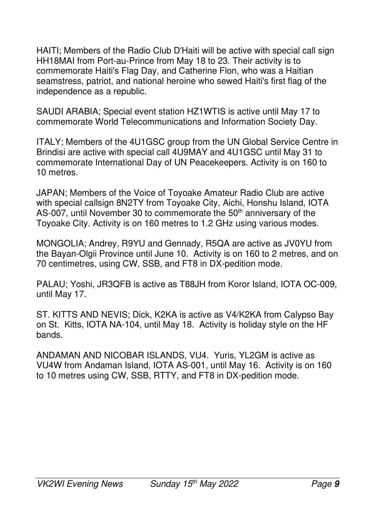HAITI; Members of the Radio Club D'Haiti will be active with special call sign HH18MAI from Port-au-Prince from May 18 to 23. Their activity is to commemorate Haiti's Flag Day, and Catherine Flon, who was a Haitian seamstress, patriot, and national heroine who sewed Haiti's first flag of the independence as a republic.

SAUDI ARABIA; Special event station HZ1WTIS is active until May 17 to commemorate World Telecommunications and Information Society Day.

ITALY; Members of the 4U1GSC group from the UN Global Service Centre in Brindisi are active with special call 4U9MAY and 4U1GSC until May 31 to commemorate International Day of UN Peacekeepers. Activity is on 160 to 10 metres.

JAPAN; Members of the Voice of Toyoake Amateur Radio Club are active with special callsign 8N2TY from Toyoake City, Aichi, Honshu Island, IOTA AS-007, until November 30 to commemorate the 50<sup>th</sup> anniversary of the Toyoake City. Activity is on 160 metres to 1.2 GHz using various modes.

MONGOLIA; Andrey, R9YU and Gennady, R5QA are active as JV0YU from the Bayan-Olgii Province until June 10. Activity is on 160 to 2 metres, and on 70 centimetres, using CW, SSB, and FT8 in DX-pedition mode.

PALAU; Yoshi, JR3QFB is active as T88JH from Koror Island, IOTA OC-009, until May 17.

ST. KITTS AND NEVIS; Dick, K2KA is active as V4/K2KA from Calypso Bay on St. Kitts, IOTA NA-104, until May 18. Activity is holiday style on the HF bands.

ANDAMAN AND NICOBAR ISLANDS, VU4. Yuris, YL2GM is active as VU4W from Andaman Island, IOTA AS-001, until May 16. Activity is on 160 to 10 metres using CW, SSB, RTTY, and FT8 in DX-pedition mode.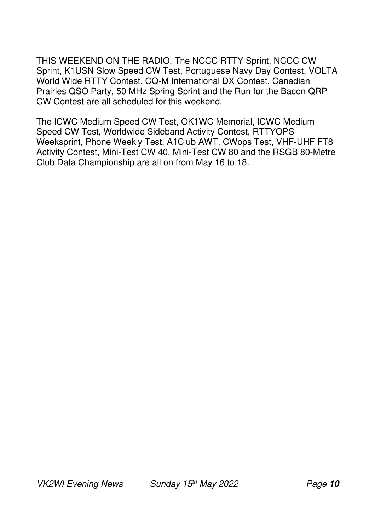THIS WEEKEND ON THE RADIO. The NCCC RTTY Sprint, NCCC CW Sprint, K1USN Slow Speed CW Test, Portuguese Navy Day Contest, VOLTA World Wide RTTY Contest, CQ-M International DX Contest, Canadian Prairies QSO Party, 50 MHz Spring Sprint and the Run for the Bacon QRP CW Contest are all scheduled for this weekend.

The ICWC Medium Speed CW Test, OK1WC Memorial, ICWC Medium Speed CW Test, Worldwide Sideband Activity Contest, RTTYOPS Weeksprint, Phone Weekly Test, A1Club AWT, CWops Test, VHF-UHF FT8 Activity Contest, Mini-Test CW 40, Mini-Test CW 80 and the RSGB 80-Metre Club Data Championship are all on from May 16 to 18.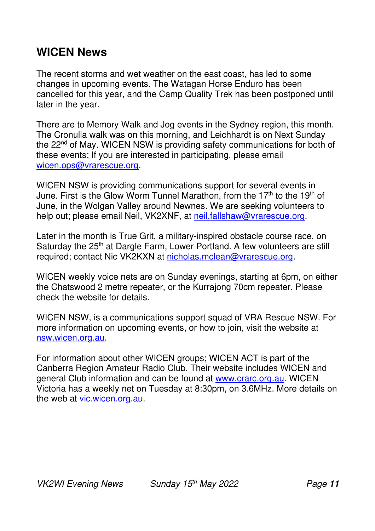## **WICEN News**

The recent storms and wet weather on the east coast, has led to some changes in upcoming events. The Watagan Horse Enduro has been cancelled for this year, and the Camp Quality Trek has been postponed until later in the year.

There are to Memory Walk and Jog events in the Sydney region, this month. The Cronulla walk was on this morning, and Leichhardt is on Next Sunday the 22<sup>nd</sup> of May. WICEN NSW is providing safety communications for both of these events; If you are interested in participating, please email wicen.ops@vrarescue.org.

WICEN NSW is providing communications support for several events in June. First is the Glow Worm Tunnel Marathon, from the 17<sup>th</sup> to the 19<sup>th</sup> of June, in the Wolgan Valley around Newnes. We are seeking volunteers to help out; please email Neil, VK2XNF, at neil.fallshaw@vrarescue.org.

Later in the month is True Grit, a military-inspired obstacle course race, on Saturday the 25<sup>th</sup> at Dargle Farm, Lower Portland. A few volunteers are still required; contact Nic VK2KXN at nicholas.mclean@vrarescue.org.

WICEN weekly voice nets are on Sunday evenings, starting at 6pm, on either the Chatswood 2 metre repeater, or the Kurrajong 70cm repeater. Please check the website for details.

WICEN NSW, is a communications support squad of VRA Rescue NSW. For more information on upcoming events, or how to join, visit the website at nsw.wicen.org.au.

For information about other WICEN groups; WICEN ACT is part of the Canberra Region Amateur Radio Club. Their website includes WICEN and general Club information and can be found at www.crarc.org.au. WICEN Victoria has a weekly net on Tuesday at 8:30pm, on 3.6MHz. More details on the web at vic.wicen.org.au.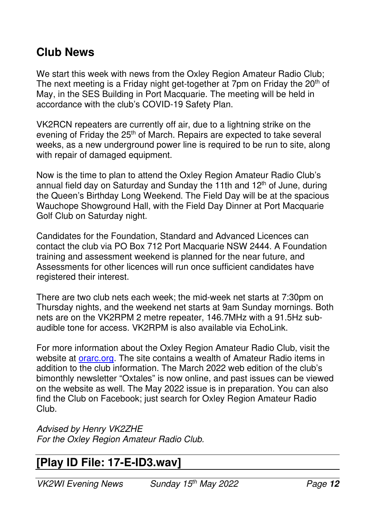#### **Club News**

We start this week with news from the Oxley Region Amateur Radio Club; The next meeting is a Friday night get-together at 7pm on Friday the 20<sup>th</sup> of May, in the SES Building in Port Macquarie. The meeting will be held in accordance with the club's COVID-19 Safety Plan.

VK2RCN repeaters are currently off air, due to a lightning strike on the evening of Friday the 25<sup>th</sup> of March. Repairs are expected to take several weeks, as a new underground power line is required to be run to site, along with repair of damaged equipment.

Now is the time to plan to attend the Oxley Region Amateur Radio Club's annual field day on Saturday and Sunday the 11th and  $12<sup>th</sup>$  of June, during the Queen's Birthday Long Weekend. The Field Day will be at the spacious Wauchope Showground Hall, with the Field Day Dinner at Port Macquarie Golf Club on Saturday night.

Candidates for the Foundation, Standard and Advanced Licences can contact the club via PO Box 712 Port Macquarie NSW 2444. A Foundation training and assessment weekend is planned for the near future, and Assessments for other licences will run once sufficient candidates have registered their interest.

There are two club nets each week; the mid-week net starts at 7:30pm on Thursday nights, and the weekend net starts at 9am Sunday mornings. Both nets are on the VK2RPM 2 metre repeater, 146.7MHz with a 91.5Hz subaudible tone for access. VK2RPM is also available via EchoLink.

For more information about the Oxley Region Amateur Radio Club, visit the website at **orarc.org.** The site contains a wealth of Amateur Radio items in addition to the club information. The March 2022 web edition of the club's bimonthly newsletter "Oxtales" is now online, and past issues can be viewed on the website as well. The May 2022 issue is in preparation. You can also find the Club on Facebook; just search for Oxley Region Amateur Radio Club.

*Advised by Henry VK2ZHE For the Oxley Region Amateur Radio Club.* 

## **[Play ID File: 17-E-ID3.wav]**

*VK2WI Evening News Sunday 15th May 2022 Page* **12**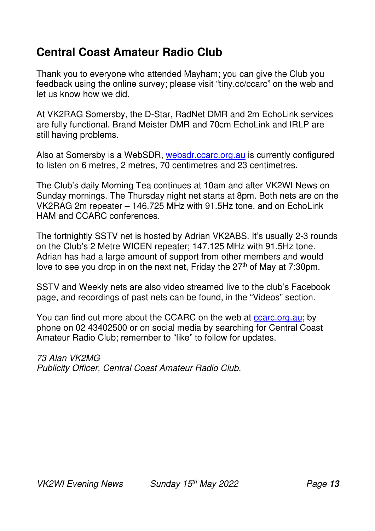## **Central Coast Amateur Radio Club**

Thank you to everyone who attended Mayham; you can give the Club you feedback using the online survey; please visit "tiny.cc/ccarc" on the web and let us know how we did.

At VK2RAG Somersby, the D-Star, RadNet DMR and 2m EchoLink services are fully functional. Brand Meister DMR and 70cm EchoLink and IRLP are still having problems.

Also at Somersby is a WebSDR, websdr.ccarc.org.au is currently configured to listen on 6 metres, 2 metres, 70 centimetres and 23 centimetres.

The Club's daily Morning Tea continues at 10am and after VK2WI News on Sunday mornings. The Thursday night net starts at 8pm. Both nets are on the VK2RAG 2m repeater – 146.725 MHz with 91.5Hz tone, and on EchoLink HAM and CCARC conferences.

The fortnightly SSTV net is hosted by Adrian VK2ABS. It's usually 2-3 rounds on the Club's 2 Metre WICEN repeater; 147.125 MHz with 91.5Hz tone. Adrian has had a large amount of support from other members and would love to see you drop in on the next net, Friday the 27<sup>th</sup> of May at 7:30pm.

SSTV and Weekly nets are also video streamed live to the club's Facebook page, and recordings of past nets can be found, in the "Videos" section.

You can find out more about the CCARC on the web at ccarc.org.au; by phone on 02 43402500 or on social media by searching for Central Coast Amateur Radio Club; remember to "like" to follow for updates.

*73 Alan VK2MG Publicity Officer, Central Coast Amateur Radio Club.*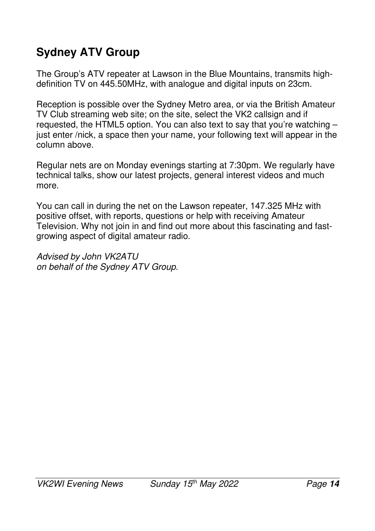# **Sydney ATV Group**

The Group's ATV repeater at Lawson in the Blue Mountains, transmits highdefinition TV on 445.50MHz, with analogue and digital inputs on 23cm.

Reception is possible over the Sydney Metro area, or via the British Amateur TV Club streaming web site; on the site, select the VK2 callsign and if requested, the HTML5 option. You can also text to say that you're watching – just enter /nick, a space then your name, your following text will appear in the column above.

Regular nets are on Monday evenings starting at 7:30pm. We regularly have technical talks, show our latest projects, general interest videos and much more.

You can call in during the net on the Lawson repeater, 147.325 MHz with positive offset, with reports, questions or help with receiving Amateur Television. Why not join in and find out more about this fascinating and fastgrowing aspect of digital amateur radio.

*Advised by John VK2ATU on behalf of the Sydney ATV Group.*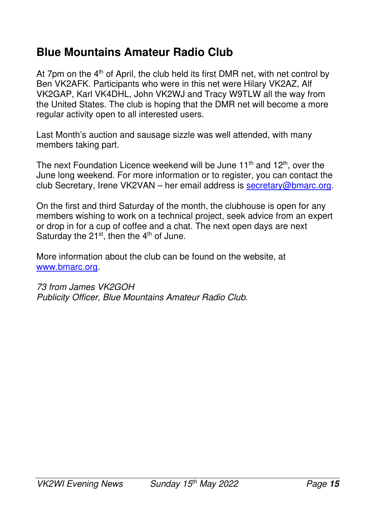## **Blue Mountains Amateur Radio Club**

At 7pm on the  $4<sup>th</sup>$  of April, the club held its first DMR net, with net control by Ben VK2AFK. Participants who were in this net were Hilary VK2AZ, Alf VK2GAP, Karl VK4DHL, John VK2WJ and Tracy W9TLW all the way from the United States. The club is hoping that the DMR net will become a more regular activity open to all interested users.

Last Month's auction and sausage sizzle was well attended, with many members taking part.

The next Foundation Licence weekend will be June  $11<sup>th</sup>$  and  $12<sup>th</sup>$ , over the June long weekend. For more information or to register, you can contact the club Secretary, Irene VK2VAN – her email address is secretary@bmarc.org.

On the first and third Saturday of the month, the clubhouse is open for any members wishing to work on a technical project, seek advice from an expert or drop in for a cup of coffee and a chat. The next open days are next Saturday the  $21^{st}$ , then the  $4^{th}$  of June.

More information about the club can be found on the website, at www.bmarc.org.

*73 from James VK2GOH Publicity Officer, Blue Mountains Amateur Radio Club.*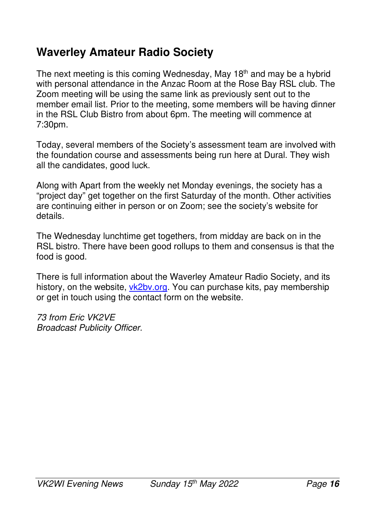## **Waverley Amateur Radio Society**

The next meeting is this coming Wednesday, May 18<sup>th</sup> and may be a hybrid with personal attendance in the Anzac Room at the Rose Bay RSL club. The Zoom meeting will be using the same link as previously sent out to the member email list. Prior to the meeting, some members will be having dinner in the RSL Club Bistro from about 6pm. The meeting will commence at 7:30pm.

Today, several members of the Society's assessment team are involved with the foundation course and assessments being run here at Dural. They wish all the candidates, good luck.

Along with Apart from the weekly net Monday evenings, the society has a "project day" get together on the first Saturday of the month. Other activities are continuing either in person or on Zoom; see the society's website for details.

The Wednesday lunchtime get togethers, from midday are back on in the RSL bistro. There have been good rollups to them and consensus is that the food is good.

There is full information about the Waverley Amateur Radio Society, and its history, on the website, vk2by.org. You can purchase kits, pay membership or get in touch using the contact form on the website.

*73 from Eric VK2VE Broadcast Publicity Officer.*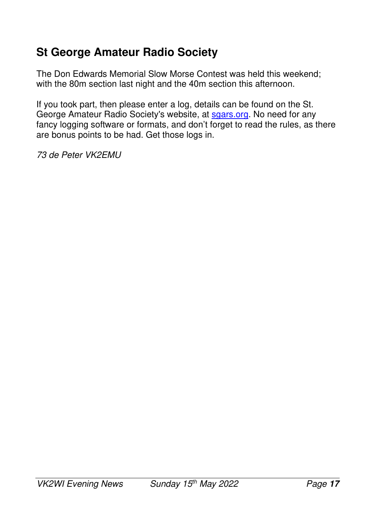## **St George Amateur Radio Society**

The Don Edwards Memorial Slow Morse Contest was held this weekend; with the 80m section last night and the 40m section this afternoon.

If you took part, then please enter a log, details can be found on the St. George Amateur Radio Society's website, at sgars.org. No need for any fancy logging software or formats, and don't forget to read the rules, as there are bonus points to be had. Get those logs in.

*73 de Peter VK2EMU*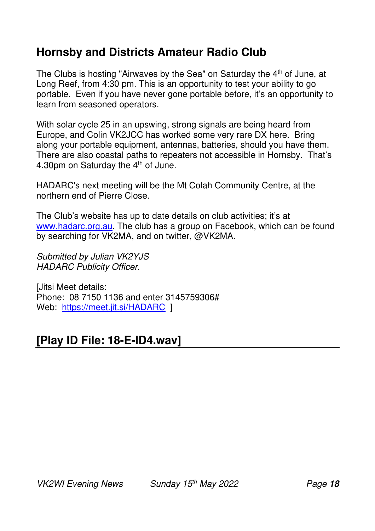### **Hornsby and Districts Amateur Radio Club**

The Clubs is hosting "Airwaves by the Sea" on Saturday the 4<sup>th</sup> of June, at Long Reef, from 4:30 pm. This is an opportunity to test your ability to go portable. Even if you have never gone portable before, it's an opportunity to learn from seasoned operators.

With solar cycle 25 in an upswing, strong signals are being heard from Europe, and Colin VK2JCC has worked some very rare DX here. Bring along your portable equipment, antennas, batteries, should you have them. There are also coastal paths to repeaters not accessible in Hornsby. That's 4.30pm on Saturday the 4<sup>th</sup> of June.

HADARC's next meeting will be the Mt Colah Community Centre, at the northern end of Pierre Close.

The Club's website has up to date details on club activities; it's at www.hadarc.org.au. The club has a group on Facebook, which can be found by searching for VK2MA, and on twitter, @VK2MA.

*Submitted by Julian VK2YJS HADARC Publicity Officer.* 

[Jitsi Meet details: Phone: 08 7150 1136 and enter 3145759306# Web: https://meet.jit.si/HADARC 1

## **[Play ID File: 18-E-ID4.wav]**